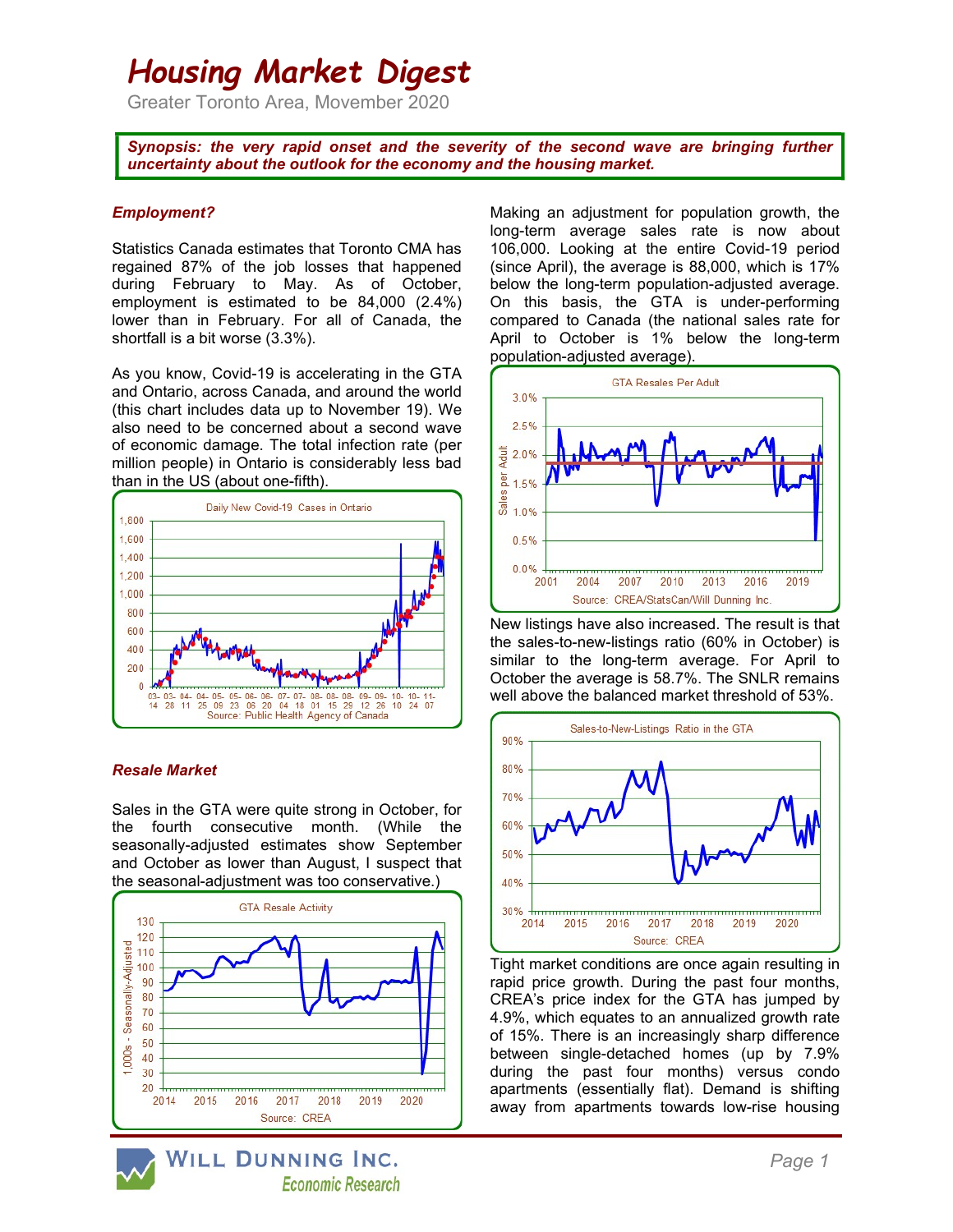# Housing Market Digest

Greater Toronto Area, Movember 2020

Synopsis: the very rapid onset and the severity of the second wave are bringing further uncertainty about the outlook for the economy and the housing market.

## Employment?

Statistics Canada estimates that Toronto CMA has regained 87% of the job losses that happened during February to May. As of October, employment is estimated to be 84,000 (2.4%) lower than in February. For all of Canada, the shortfall is a bit worse (3.3%).

As you know, Covid-19 is accelerating in the GTA and Ontario, across Canada, and around the world (this chart includes data up to November 19). We also need to be concerned about a second wave of economic damage. The total infection rate (per million people) in Ontario is considerably less bad than in the US (about one-fifth).



# Resale Market

Sales in the GTA were quite strong in October, for the fourth consecutive month. (While the seasonally-adjusted estimates show September and October as lower than August, I suspect that the seasonal-adjustment was too conservative.)



WILL DUNNING INC. **Economic Research**  Making an adjustment for population growth, the long-term average sales rate is now about 106,000. Looking at the entire Covid-19 period (since April), the average is 88,000, which is 17% below the long-term population-adjusted average. On this basis, the GTA is under-performing compared to Canada (the national sales rate for April to October is 1% below the long-term population-adjusted average).



New listings have also increased. The result is that the sales-to-new-listings ratio (60% in October) is similar to the long-term average. For April to October the average is 58.7%. The SNLR remains well above the balanced market threshold of 53%.



Tight market conditions are once again resulting in rapid price growth. During the past four months, CREA's price index for the GTA has jumped by 4.9%, which equates to an annualized growth rate of 15%. There is an increasingly sharp difference between single-detached homes (up by 7.9% during the past four months) versus condo apartments (essentially flat). Demand is shifting away from apartments towards low-rise housing